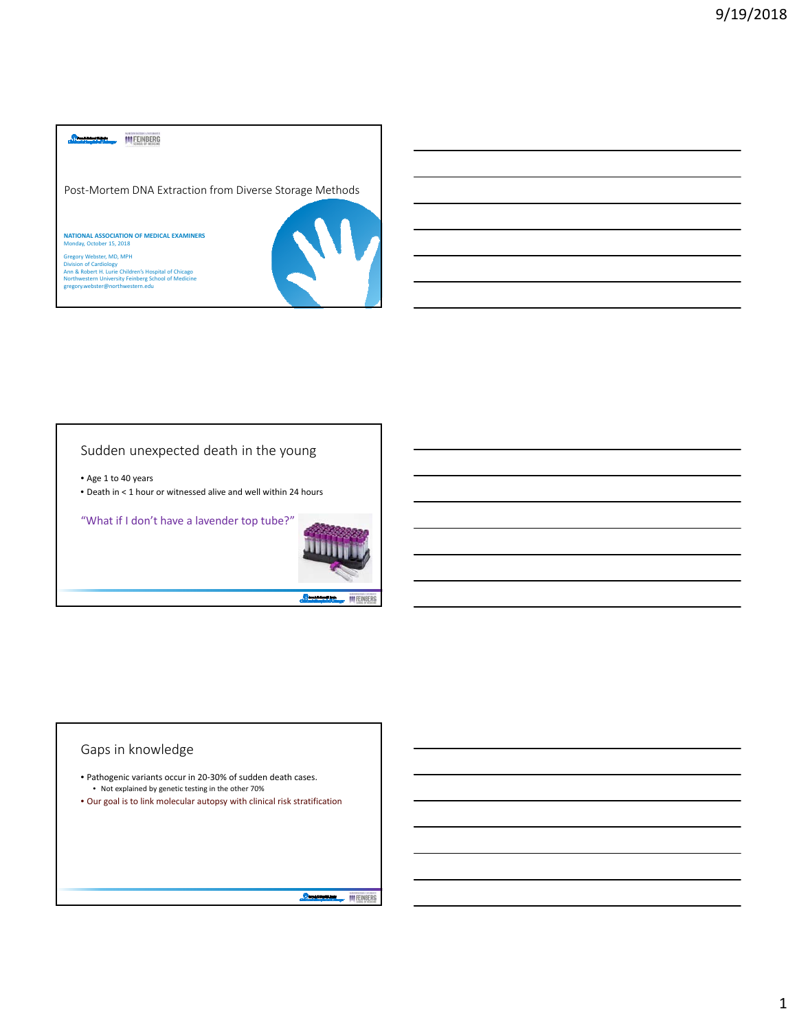#### M FEINBERG

Post‐Mortem DNA Extraction from Diverse Storage Methods

**NATIONAL ASSOCIATION OF MEDICAL EXAMINERS** Monday, October 15, 2018

Gregory Webster, MD, MPH Division of Cardiology Ann & Robert H. Lurie Children's Hospital of Chicago Northwestern University Feinberg School of Medicine gregory.webster@northwestern.edu



## Sudden unexpected death in the young

• Age 1 to 40 years

• Death in < 1 hour or witnessed alive and well within 24 hours

"What if I don't have a lavender top tube?"



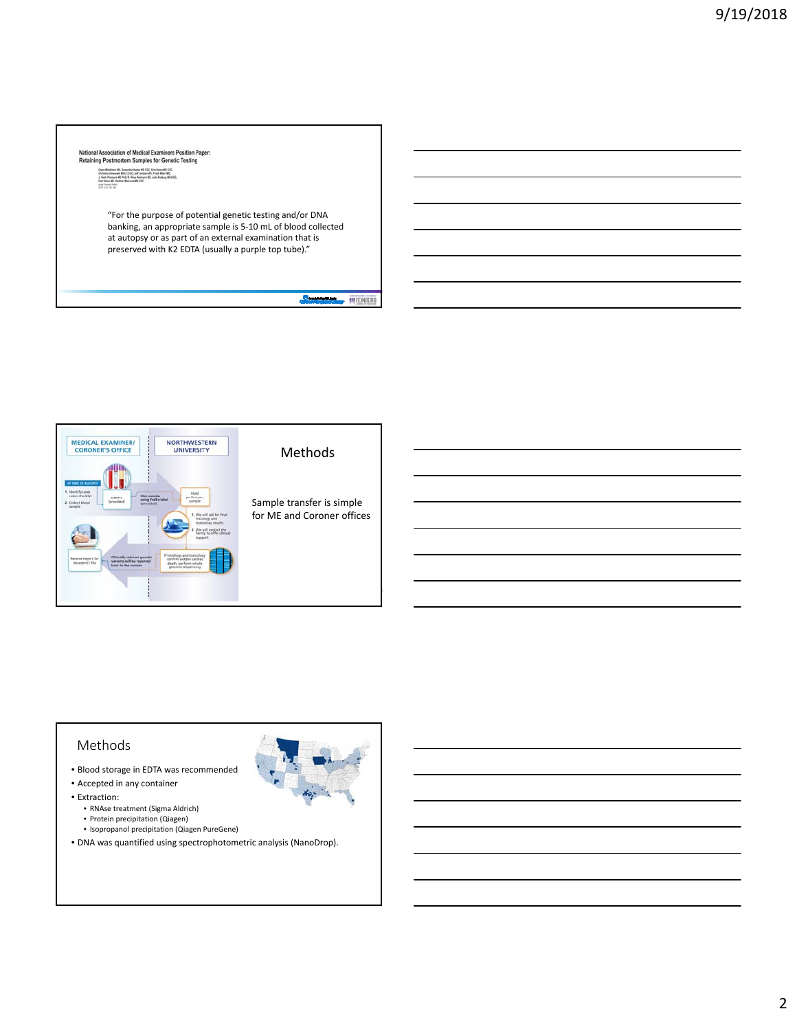# National Association of Medical Examiners Position Paper:<br>Retaining Postmortem Samples for Genetic Testing New Workness WO, Sampshire Blacker WO COC, Direct Beat of WO COC, Chica Beat of WO COC, July 2011<br>Christian Reservent WO Profile and Coco Model and Working WO, Coco Willie and Working WO, Coco Willie and Provide Working WO

"For the purpose of potential genetic testing and/or DNA banking, an appropriate sample is 5‐10 mL of blood collected at autopsy or as part of an external examination that is preserved with K2 EDTA (usually a purple top tube)."

**Occupation INTENBERG** 



### Methods

- Blood storage in EDTA was recommended
- Accepted in any container
- Extraction:
	- RNAse treatment (Sigma Aldrich)
	- Protein precipitation (Qiagen)
	- Isopropanol precipitation (Qiagen PureGene)
- DNA was quantified using spectrophotometric analysis (NanoDrop).



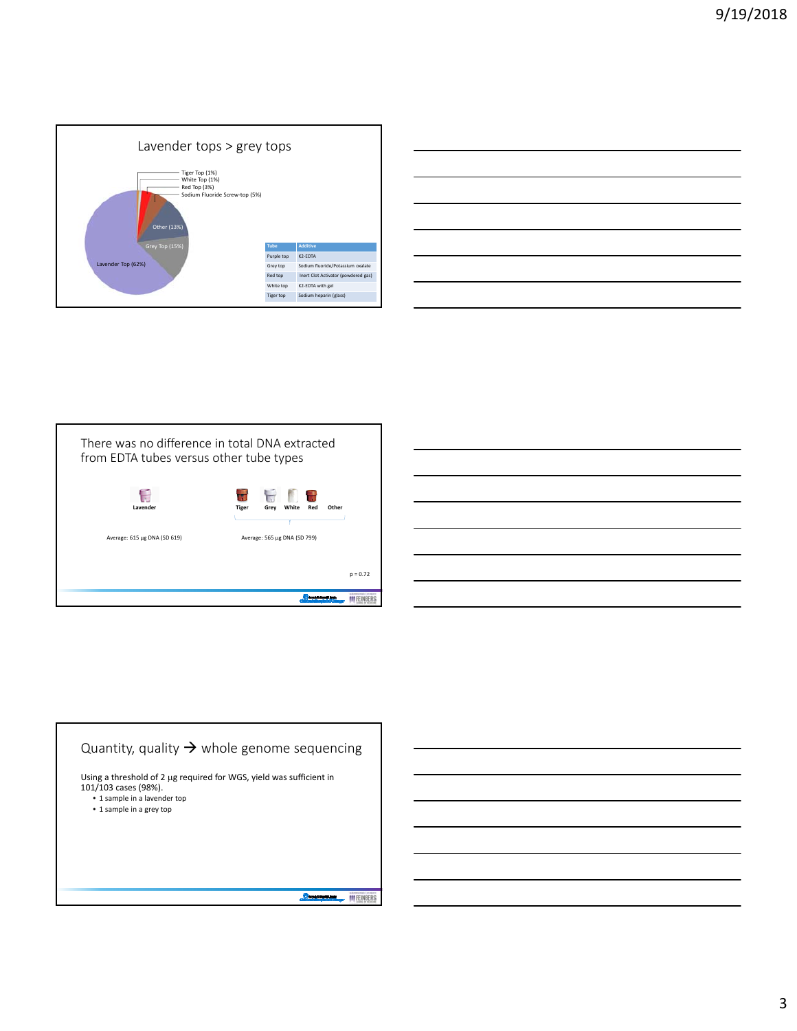

| <u> 1989 - Johann Harry Harry Harry Harry Harry Harry Harry Harry Harry Harry Harry Harry Harry Harry Harry Harry</u> |  |  |
|-----------------------------------------------------------------------------------------------------------------------|--|--|
|                                                                                                                       |  |  |
| ,我们也不会有什么。""我们的人,我们也不会有什么?""我们的人,我们也不会有什么?""我们的人,我们也不会有什么?""我们的人,我们也不会有什么?""我们的人                                      |  |  |
| <u> 1989 - Andrea Andrew Maria (h. 1989).</u>                                                                         |  |  |
| <u> 1989 - Johann Barn, mars et al. (b. 1989).</u>                                                                    |  |  |
| ,我们也不会有什么?""我们的人,我们也不会有什么?""我们的人,我们也不会有什么?""我们的人,我们的人,我们也不会有什么?""我们的人,我们也不会有什么?""                                     |  |  |

L,